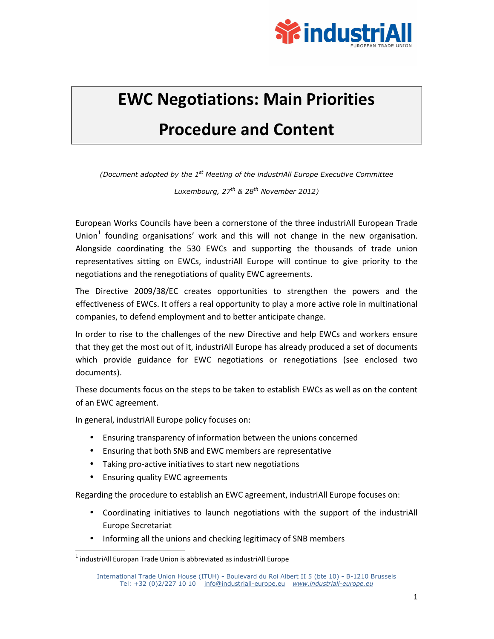

### **EWC Negotiations: Main Priorities Procedure and Content**

*(Document adopted by the 1st Meeting of the industriAll Europe Executive Committee* 

*Luxembourg, 27th & 28th November 2012)* 

European Works Councils have been a cornerstone of the three industriAll European Trade Union $<sup>1</sup>$  founding organisations' work and this will not change in the new organisation.</sup> Alongside coordinating the 530 EWCs and supporting the thousands of trade union representatives sitting on EWCs, industriAll Europe will continue to give priority to the negotiations and the renegotiations of quality EWC agreements.

The Directive 2009/38/EC creates opportunities to strengthen the powers and the effectiveness of EWCs. It offers a real opportunity to play a more active role in multinational companies, to defend employment and to better anticipate change.

In order to rise to the challenges of the new Directive and help EWCs and workers ensure that they get the most out of it, industriAll Europe has already produced a set of documents which provide guidance for EWC negotiations or renegotiations (see enclosed two documents).

These documents focus on the steps to be taken to establish EWCs as well as on the content of an EWC agreement.

In general, industriAll Europe policy focuses on:

- Ensuring transparency of information between the unions concerned
- Ensuring that both SNB and EWC members are representative
- Taking pro-active initiatives to start new negotiations
- Ensuring quality EWC agreements

1

Regarding the procedure to establish an EWC agreement, industriAll Europe focuses on:

- Coordinating initiatives to launch negotiations with the support of the industriAll Europe Secretariat
- Informing all the unions and checking legitimacy of SNB members

 $<sup>1</sup>$  industriAll Europan Trade Union is abbreviated as industriAll Europe</sup>

International Trade Union House (ITUH) **-** Boulevard du Roi Albert II 5 (bte 10) **-** B-1210 Brussels Tel: +32 (0)2/227 10 10 info@industriall-europe.eu *www.industriall-europe.eu*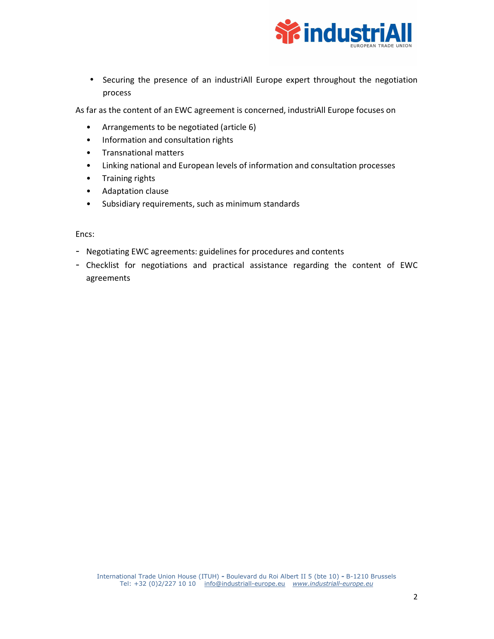

• Securing the presence of an industriAll Europe expert throughout the negotiation process

As far as the content of an EWC agreement is concerned, industriAll Europe focuses on

- Arrangements to be negotiated (article 6)
- Information and consultation rights
- Transnational matters
- Linking national and European levels of information and consultation processes
- Training rights
- Adaptation clause
- Subsidiary requirements, such as minimum standards

Encs:

- Negotiating EWC agreements: guidelines for procedures and contents
- Checklist for negotiations and practical assistance regarding the content of EWC agreements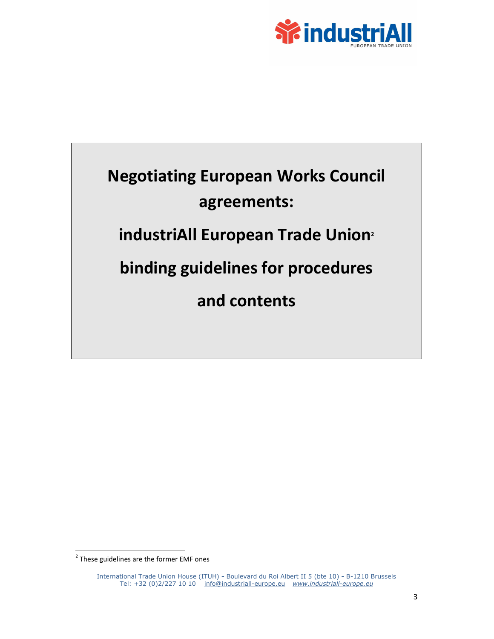

## **Negotiating European Works Council agreements: industriAll European Trade Union<sup>2</sup> binding guidelines for procedures and contents**

1

 $2$  These guidelines are the former EMF ones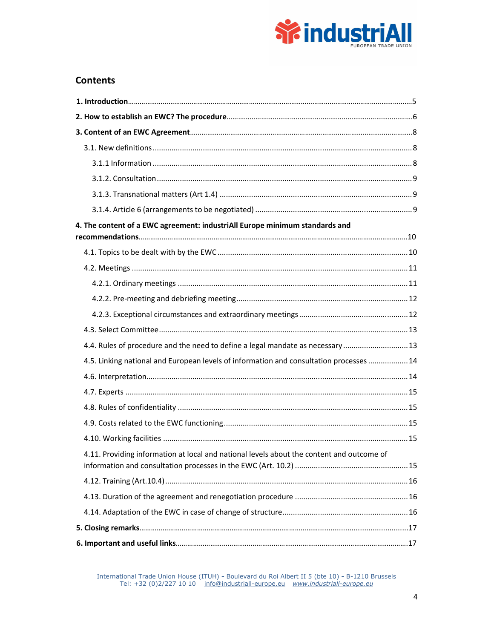

### **Contents**

| 4. The content of a EWC agreement: industriAll Europe minimum standards and               |  |
|-------------------------------------------------------------------------------------------|--|
|                                                                                           |  |
|                                                                                           |  |
|                                                                                           |  |
|                                                                                           |  |
|                                                                                           |  |
|                                                                                           |  |
| 4.4. Rules of procedure and the need to define a legal mandate as necessary  13           |  |
| 4.5. Linking national and European levels of information and consultation processes  14   |  |
|                                                                                           |  |
|                                                                                           |  |
|                                                                                           |  |
|                                                                                           |  |
|                                                                                           |  |
| 4.11. Providing information at local and national levels about the content and outcome of |  |
|                                                                                           |  |
|                                                                                           |  |
|                                                                                           |  |
|                                                                                           |  |
|                                                                                           |  |

International Trade Union House (ITUH) **-** Boulevard du Roi Albert II 5 (bte 10) **-** B-1210 Brussels Tel: +32 (0)2/227 10 10 info@industriall-europe.eu *www.industriall-europe.eu*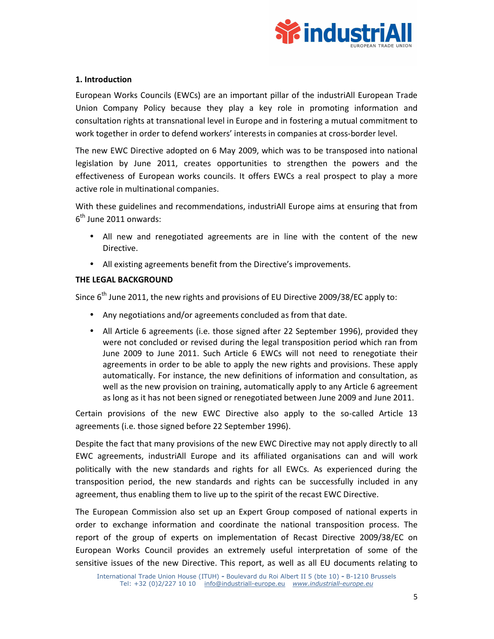

### **1. Introduction**

European Works Councils (EWCs) are an important pillar of the industriAll European Trade Union Company Policy because they play a key role in promoting information and consultation rights at transnational level in Europe and in fostering a mutual commitment to work together in order to defend workers' interests in companies at cross-border level.

The new EWC Directive adopted on 6 May 2009, which was to be transposed into national legislation by June 2011, creates opportunities to strengthen the powers and the effectiveness of European works councils. It offers EWCs a real prospect to play a more active role in multinational companies.

With these guidelines and recommendations, industriAll Europe aims at ensuring that from 6<sup>th</sup> June 2011 onwards:

- All new and renegotiated agreements are in line with the content of the new Directive.
- All existing agreements benefit from the Directive's improvements.

### **THE LEGAL BACKGROUND**

Since  $6<sup>th</sup>$  June 2011, the new rights and provisions of EU Directive 2009/38/EC apply to:

- Any negotiations and/or agreements concluded as from that date.
- All Article 6 agreements (i.e. those signed after 22 September 1996), provided they were not concluded or revised during the legal transposition period which ran from June 2009 to June 2011. Such Article 6 EWCs will not need to renegotiate their agreements in order to be able to apply the new rights and provisions. These apply automatically. For instance, the new definitions of information and consultation, as well as the new provision on training, automatically apply to any Article 6 agreement as long as it has not been signed or renegotiated between June 2009 and June 2011.

Certain provisions of the new EWC Directive also apply to the so-called Article 13 agreements (i.e. those signed before 22 September 1996).

Despite the fact that many provisions of the new EWC Directive may not apply directly to all EWC agreements, industriAll Europe and its affiliated organisations can and will work politically with the new standards and rights for all EWCs. As experienced during the transposition period, the new standards and rights can be successfully included in any agreement, thus enabling them to live up to the spirit of the recast EWC Directive.

The European Commission also set up an Expert Group composed of national experts in order to exchange information and coordinate the national transposition process. The report of the group of experts on implementation of Recast Directive 2009/38/EC on European Works Council provides an extremely useful interpretation of some of the sensitive issues of the new Directive. This report, as well as all EU documents relating to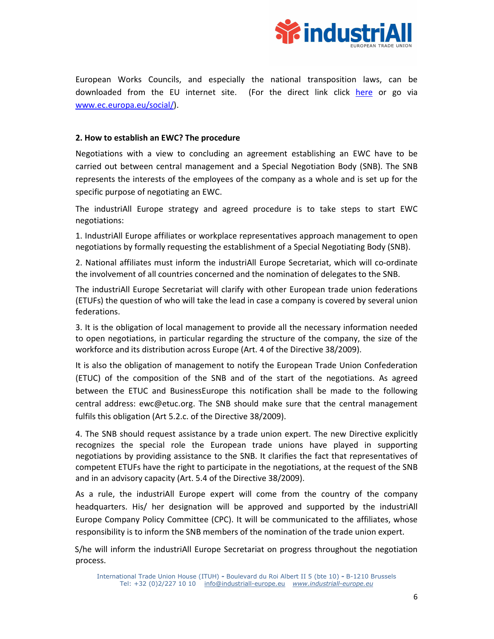

European Works Councils, and especially the national transposition laws, can be downloaded from the EU internet site. (For the direct link click here or go via www.ec.europa.eu/social/).

### **2. How to establish an EWC? The procedure**

Negotiations with a view to concluding an agreement establishing an EWC have to be carried out between central management and a Special Negotiation Body (SNB). The SNB represents the interests of the employees of the company as a whole and is set up for the specific purpose of negotiating an EWC.

The industriAll Europe strategy and agreed procedure is to take steps to start EWC negotiations:

1. IndustriAll Europe affiliates or workplace representatives approach management to open negotiations by formally requesting the establishment of a Special Negotiating Body (SNB).

2. National affiliates must inform the industriAll Europe Secretariat, which will co-ordinate the involvement of all countries concerned and the nomination of delegates to the SNB.

The industriAll Europe Secretariat will clarify with other European trade union federations (ETUFs) the question of who will take the lead in case a company is covered by several union federations.

3. It is the obligation of local management to provide all the necessary information needed to open negotiations, in particular regarding the structure of the company, the size of the workforce and its distribution across Europe (Art. 4 of the Directive 38/2009).

It is also the obligation of management to notify the European Trade Union Confederation (ETUC) of the composition of the SNB and of the start of the negotiations. As agreed between the ETUC and BusinessEurope this notification shall be made to the following central address: ewc@etuc.org. The SNB should make sure that the central management fulfils this obligation (Art 5.2.c. of the Directive 38/2009).

4. The SNB should request assistance by a trade union expert. The new Directive explicitly recognizes the special role the European trade unions have played in supporting negotiations by providing assistance to the SNB. It clarifies the fact that representatives of competent ETUFs have the right to participate in the negotiations, at the request of the SNB and in an advisory capacity (Art. 5.4 of the Directive 38/2009).

As a rule, the industriAll Europe expert will come from the country of the company headquarters. His/ her designation will be approved and supported by the industriAll Europe Company Policy Committee (CPC). It will be communicated to the affiliates, whose responsibility is to inform the SNB members of the nomination of the trade union expert.

S/he will inform the industriAll Europe Secretariat on progress throughout the negotiation process.

International Trade Union House (ITUH) **-** Boulevard du Roi Albert II 5 (bte 10) **-** B-1210 Brussels Tel: +32 (0)2/227 10 10 info@industriall-europe.eu *www.industriall-europe.eu*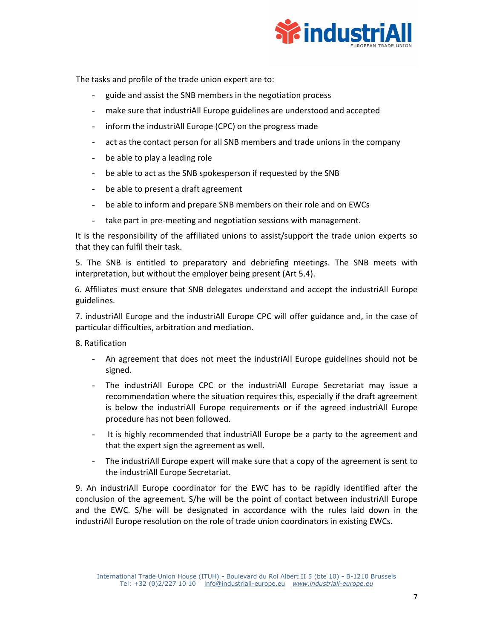

The tasks and profile of the trade union expert are to:

- guide and assist the SNB members in the negotiation process
- make sure that industriAll Europe guidelines are understood and accepted
- inform the industriAll Europe (CPC) on the progress made
- act as the contact person for all SNB members and trade unions in the company
- be able to play a leading role
- be able to act as the SNB spokesperson if requested by the SNB
- be able to present a draft agreement
- be able to inform and prepare SNB members on their role and on EWCs
- take part in pre-meeting and negotiation sessions with management.

It is the responsibility of the affiliated unions to assist/support the trade union experts so that they can fulfil their task.

5. The SNB is entitled to preparatory and debriefing meetings. The SNB meets with interpretation, but without the employer being present (Art 5.4).

6. Affiliates must ensure that SNB delegates understand and accept the industriAll Europe guidelines.

7. industriAll Europe and the industriAll Europe CPC will offer guidance and, in the case of particular difficulties, arbitration and mediation.

8. Ratification

- An agreement that does not meet the industriAll Europe guidelines should not be signed.
- The industriAll Europe CPC or the industriAll Europe Secretariat may issue a recommendation where the situation requires this, especially if the draft agreement is below the industriAll Europe requirements or if the agreed industriAll Europe procedure has not been followed.
- It is highly recommended that industriAll Europe be a party to the agreement and that the expert sign the agreement as well.
- The industriAll Europe expert will make sure that a copy of the agreement is sent to the industriAll Europe Secretariat.

9. An industriAll Europe coordinator for the EWC has to be rapidly identified after the conclusion of the agreement. S/he will be the point of contact between industriAll Europe and the EWC. S/he will be designated in accordance with the rules laid down in the industriAll Europe resolution on the role of trade union coordinators in existing EWCs.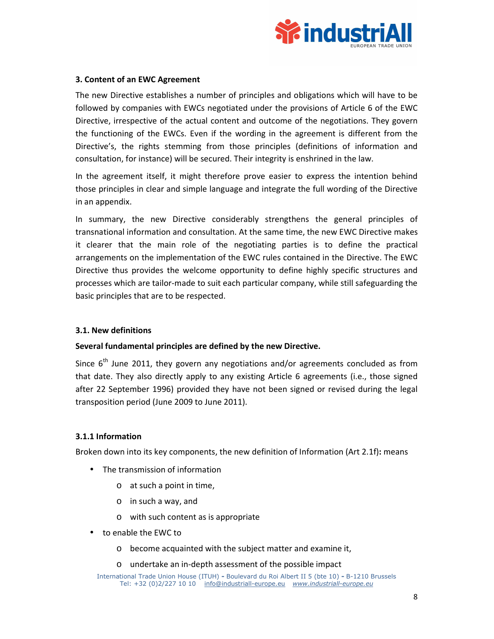

### **3. Content of an EWC Agreement**

The new Directive establishes a number of principles and obligations which will have to be followed by companies with EWCs negotiated under the provisions of Article 6 of the EWC Directive, irrespective of the actual content and outcome of the negotiations. They govern the functioning of the EWCs. Even if the wording in the agreement is different from the Directive's, the rights stemming from those principles (definitions of information and consultation, for instance) will be secured. Their integrity is enshrined in the law.

In the agreement itself, it might therefore prove easier to express the intention behind those principles in clear and simple language and integrate the full wording of the Directive in an appendix.

In summary, the new Directive considerably strengthens the general principles of transnational information and consultation. At the same time, the new EWC Directive makes it clearer that the main role of the negotiating parties is to define the practical arrangements on the implementation of the EWC rules contained in the Directive. The EWC Directive thus provides the welcome opportunity to define highly specific structures and processes which are tailor-made to suit each particular company, while still safeguarding the basic principles that are to be respected.

### **3.1. New definitions**

### **Several fundamental principles are defined by the new Directive.**

Since  $6<sup>th</sup>$  June 2011, they govern any negotiations and/or agreements concluded as from that date. They also directly apply to any existing Article 6 agreements (i.e., those signed after 22 September 1996) provided they have not been signed or revised during the legal transposition period (June 2009 to June 2011).

### **3.1.1 Information**

Broken down into its key components, the new definition of Information (Art 2.1f)**:** means

- The transmission of information
	- o at such a point in time,
	- o in such a way, and
	- o with such content as is appropriate
- to enable the EWC to
	- o become acquainted with the subject matter and examine it,
	- o undertake an in-depth assessment of the possible impact

International Trade Union House (ITUH) **-** Boulevard du Roi Albert II 5 (bte 10) **-** B-1210 Brussels Tel: +32 (0)2/227 10 10 info@industriall-europe.eu *www.industriall-europe.eu*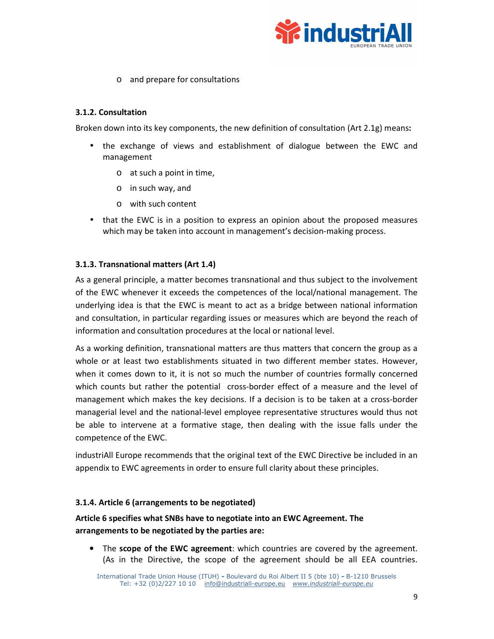

o and prepare for consultations

### **3.1.2. Consultation**

Broken down into its key components, the new definition of consultation (Art 2.1g) means**:**

- the exchange of views and establishment of dialogue between the EWC and management
	- o at such a point in time,
	- o in such way, and
	- o with such content
- that the EWC is in a position to express an opinion about the proposed measures which may be taken into account in management's decision-making process.

### **3.1.3. Transnational matters (Art 1.4)**

As a general principle, a matter becomes transnational and thus subject to the involvement of the EWC whenever it exceeds the competences of the local/national management. The underlying idea is that the EWC is meant to act as a bridge between national information and consultation, in particular regarding issues or measures which are beyond the reach of information and consultation procedures at the local or national level.

As a working definition, transnational matters are thus matters that concern the group as a whole or at least two establishments situated in two different member states. However, when it comes down to it, it is not so much the number of countries formally concerned which counts but rather the potential cross-border effect of a measure and the level of management which makes the key decisions. If a decision is to be taken at a cross-border managerial level and the national-level employee representative structures would thus not be able to intervene at a formative stage, then dealing with the issue falls under the competence of the EWC.

industriAll Europe recommends that the original text of the EWC Directive be included in an appendix to EWC agreements in order to ensure full clarity about these principles.

### **3.1.4. Article 6 (arrangements to be negotiated)**

**Article 6 specifies what SNBs have to negotiate into an EWC Agreement. The arrangements to be negotiated by the parties are:**

• The **scope of the EWC agreement**: which countries are covered by the agreement. (As in the Directive, the scope of the agreement should be all EEA countries.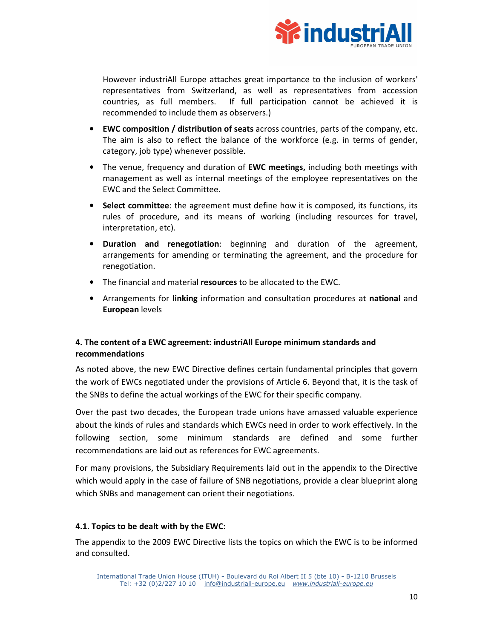

However industriAll Europe attaches great importance to the inclusion of workers' representatives from Switzerland, as well as representatives from accession countries, as full members. If full participation cannot be achieved it is recommended to include them as observers.)

- **EWC composition / distribution of seats** across countries, parts of the company, etc. The aim is also to reflect the balance of the workforce (e.g. in terms of gender, category, job type) whenever possible.
- The venue, frequency and duration of **EWC meetings,** including both meetings with management as well as internal meetings of the employee representatives on the EWC and the Select Committee.
- **Select committee**: the agreement must define how it is composed, its functions, its rules of procedure, and its means of working (including resources for travel, interpretation, etc).
- **Duration and renegotiation**: beginning and duration of the agreement, arrangements for amending or terminating the agreement, and the procedure for renegotiation.
- The financial and material **resources** to be allocated to the EWC.
- Arrangements for **linking** information and consultation procedures at **national** and **European** levels

### **4. The content of a EWC agreement: industriAll Europe minimum standards and recommendations**

As noted above, the new EWC Directive defines certain fundamental principles that govern the work of EWCs negotiated under the provisions of Article 6. Beyond that, it is the task of the SNBs to define the actual workings of the EWC for their specific company.

Over the past two decades, the European trade unions have amassed valuable experience about the kinds of rules and standards which EWCs need in order to work effectively. In the following section, some minimum standards are defined and some further recommendations are laid out as references for EWC agreements.

For many provisions, the Subsidiary Requirements laid out in the appendix to the Directive which would apply in the case of failure of SNB negotiations, provide a clear blueprint along which SNBs and management can orient their negotiations.

### **4.1. Topics to be dealt with by the EWC:**

The appendix to the 2009 EWC Directive lists the topics on which the EWC is to be informed and consulted.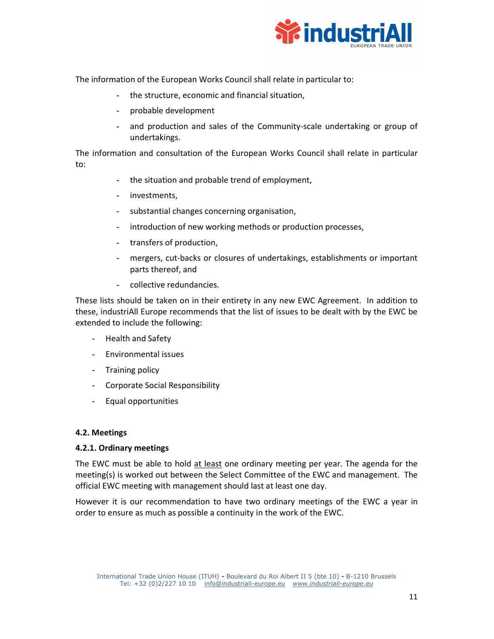

The information of the European Works Council shall relate in particular to:

- the structure, economic and financial situation,
- probable development
- and production and sales of the Community-scale undertaking or group of undertakings.

The information and consultation of the European Works Council shall relate in particular to:

- the situation and probable trend of employment,
- investments,
- substantial changes concerning organisation,
- introduction of new working methods or production processes,
- transfers of production,
- mergers, cut-backs or closures of undertakings, establishments or important parts thereof, and
- collective redundancies.

These lists should be taken on in their entirety in any new EWC Agreement. In addition to these, industriAll Europe recommends that the list of issues to be dealt with by the EWC be extended to include the following:

- Health and Safety
- Environmental issues
- Training policy
- Corporate Social Responsibility
- Equal opportunities

### **4.2. Meetings**

### **4.2.1. Ordinary meetings**

The EWC must be able to hold at least one ordinary meeting per year. The agenda for the meeting(s) is worked out between the Select Committee of the EWC and management. The official EWC meeting with management should last at least one day.

However it is our recommendation to have two ordinary meetings of the EWC a year in order to ensure as much as possible a continuity in the work of the EWC.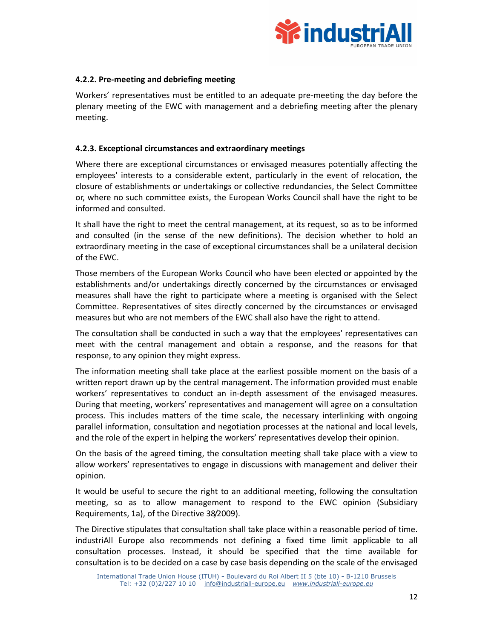

### **4.2.2. Pre-meeting and debriefing meeting**

Workers' representatives must be entitled to an adequate pre-meeting the day before the plenary meeting of the EWC with management and a debriefing meeting after the plenary meeting.

### **4.2.3. Exceptional circumstances and extraordinary meetings**

Where there are exceptional circumstances or envisaged measures potentially affecting the employees' interests to a considerable extent, particularly in the event of relocation, the closure of establishments or undertakings or collective redundancies, the Select Committee or, where no such committee exists, the European Works Council shall have the right to be informed and consulted.

It shall have the right to meet the central management, at its request, so as to be informed and consulted (in the sense of the new definitions). The decision whether to hold an extraordinary meeting in the case of exceptional circumstances shall be a unilateral decision of the EWC.

Those members of the European Works Council who have been elected or appointed by the establishments and/or undertakings directly concerned by the circumstances or envisaged measures shall have the right to participate where a meeting is organised with the Select Committee. Representatives of sites directly concerned by the circumstances or envisaged measures but who are not members of the EWC shall also have the right to attend.

The consultation shall be conducted in such a way that the employees' representatives can meet with the central management and obtain a response, and the reasons for that response, to any opinion they might express.

The information meeting shall take place at the earliest possible moment on the basis of a written report drawn up by the central management. The information provided must enable workers' representatives to conduct an in-depth assessment of the envisaged measures. During that meeting, workers' representatives and management will agree on a consultation process. This includes matters of the time scale, the necessary interlinking with ongoing parallel information, consultation and negotiation processes at the national and local levels, and the role of the expert in helping the workers' representatives develop their opinion.

On the basis of the agreed timing, the consultation meeting shall take place with a view to allow workers' representatives to engage in discussions with management and deliver their opinion.

It would be useful to secure the right to an additional meeting, following the consultation meeting, so as to allow management to respond to the EWC opinion (Subsidiary Requirements, 1a), of the Directive 38/2009).

The Directive stipulates that consultation shall take place within a reasonable period of time. industriAll Europe also recommends not defining a fixed time limit applicable to all consultation processes. Instead, it should be specified that the time available for consultation is to be decided on a case by case basis depending on the scale of the envisaged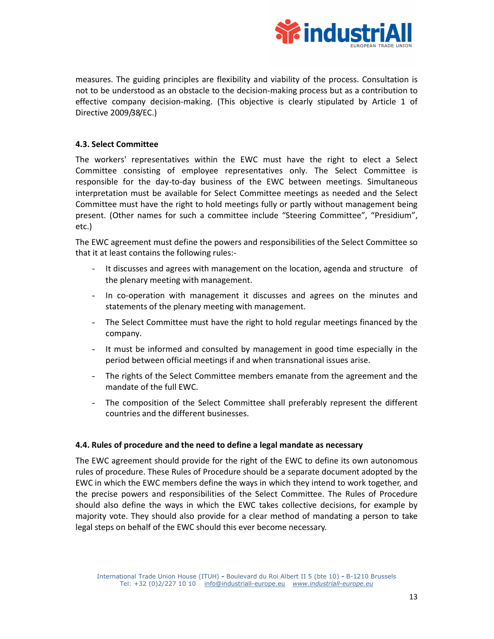

measures. The guiding principles are flexibility and viability of the process. Consultation is not to be understood as an obstacle to the decision-making process but as a contribution to effective company decision-making. (This objective is clearly stipulated by Article 1 of Directive 2009/38/EC.)

### **4.3. Select Committee**

The workers' representatives within the EWC must have the right to elect a Select Committee consisting of employee representatives only. The Select Committee is responsible for the day-to-day business of the EWC between meetings. Simultaneous interpretation must be available for Select Committee meetings as needed and the Select Committee must have the right to hold meetings fully or partly without management being present. (Other names for such a committee include "Steering Committee", "Presidium", etc.)

The EWC agreement must define the powers and responsibilities of the Select Committee so that it at least contains the following rules:-

- It discusses and agrees with management on the location, agenda and structure of the plenary meeting with management.
- In co-operation with management it discusses and agrees on the minutes and statements of the plenary meeting with management.
- The Select Committee must have the right to hold regular meetings financed by the company.
- It must be informed and consulted by management in good time especially in the period between official meetings if and when transnational issues arise.
- The rights of the Select Committee members emanate from the agreement and the mandate of the full EWC.
- The composition of the Select Committee shall preferably represent the different countries and the different businesses.

### **4.4. Rules of procedure and the need to define a legal mandate as necessary**

The EWC agreement should provide for the right of the EWC to define its own autonomous rules of procedure. These Rules of Procedure should be a separate document adopted by the EWC in which the EWC members define the ways in which they intend to work together, and the precise powers and responsibilities of the Select Committee. The Rules of Procedure should also define the ways in which the EWC takes collective decisions, for example by majority vote. They should also provide for a clear method of mandating a person to take legal steps on behalf of the EWC should this ever become necessary.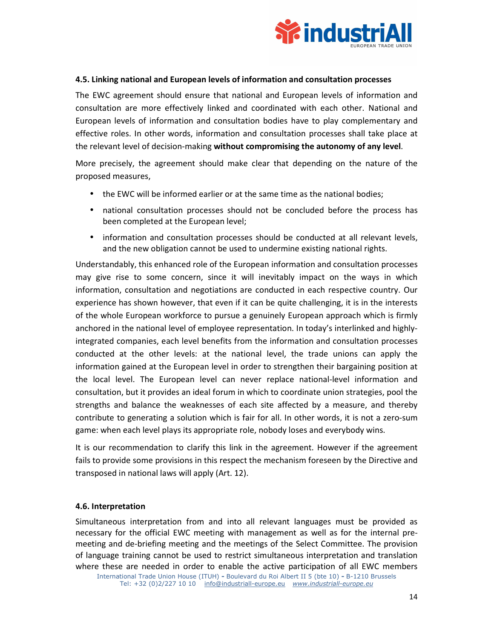

### **4.5. Linking national and European levels of information and consultation processes**

The EWC agreement should ensure that national and European levels of information and consultation are more effectively linked and coordinated with each other. National and European levels of information and consultation bodies have to play complementary and effective roles. In other words, information and consultation processes shall take place at the relevant level of decision-making **without compromising the autonomy of any level**.

More precisely, the agreement should make clear that depending on the nature of the proposed measures,

- the EWC will be informed earlier or at the same time as the national bodies;
- national consultation processes should not be concluded before the process has been completed at the European level;
- information and consultation processes should be conducted at all relevant levels, and the new obligation cannot be used to undermine existing national rights.

Understandably, this enhanced role of the European information and consultation processes may give rise to some concern, since it will inevitably impact on the ways in which information, consultation and negotiations are conducted in each respective country. Our experience has shown however, that even if it can be quite challenging, it is in the interests of the whole European workforce to pursue a genuinely European approach which is firmly anchored in the national level of employee representation. In today's interlinked and highlyintegrated companies, each level benefits from the information and consultation processes conducted at the other levels: at the national level, the trade unions can apply the information gained at the European level in order to strengthen their bargaining position at the local level. The European level can never replace national-level information and consultation, but it provides an ideal forum in which to coordinate union strategies, pool the strengths and balance the weaknesses of each site affected by a measure, and thereby contribute to generating a solution which is fair for all. In other words, it is not a zero-sum game: when each level plays its appropriate role, nobody loses and everybody wins.

It is our recommendation to clarify this link in the agreement. However if the agreement fails to provide some provisions in this respect the mechanism foreseen by the Directive and transposed in national laws will apply (Art. 12).

### **4.6. Interpretation**

Simultaneous interpretation from and into all relevant languages must be provided as necessary for the official EWC meeting with management as well as for the internal premeeting and de-briefing meeting and the meetings of the Select Committee. The provision of language training cannot be used to restrict simultaneous interpretation and translation where these are needed in order to enable the active participation of all EWC members

International Trade Union House (ITUH) **-** Boulevard du Roi Albert II 5 (bte 10) **-** B-1210 Brussels Tel: +32 (0)2/227 10 10 info@industriall-europe.eu *www.industriall-europe.eu*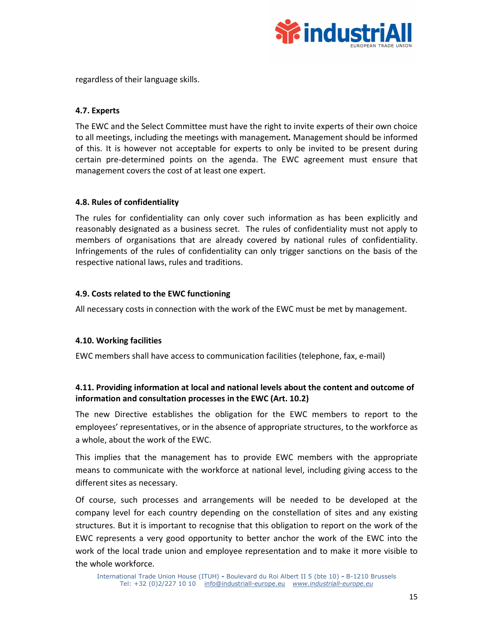

regardless of their language skills.

### **4.7. Experts**

The EWC and the Select Committee must have the right to invite experts of their own choice to all meetings, including the meetings with management*.* Management should be informed of this. It is however not acceptable for experts to only be invited to be present during certain pre-determined points on the agenda. The EWC agreement must ensure that management covers the cost of at least one expert.

### **4.8. Rules of confidentiality**

The rules for confidentiality can only cover such information as has been explicitly and reasonably designated as a business secret. The rules of confidentiality must not apply to members of organisations that are already covered by national rules of confidentiality. Infringements of the rules of confidentiality can only trigger sanctions on the basis of the respective national laws, rules and traditions.

### **4.9. Costs related to the EWC functioning**

All necessary costs in connection with the work of the EWC must be met by management.

### **4.10. Working facilities**

EWC members shall have access to communication facilities (telephone, fax, e-mail)

### **4.11. Providing information at local and national levels about the content and outcome of information and consultation processes in the EWC (Art. 10.2)**

The new Directive establishes the obligation for the EWC members to report to the employees' representatives, or in the absence of appropriate structures, to the workforce as a whole, about the work of the EWC.

This implies that the management has to provide EWC members with the appropriate means to communicate with the workforce at national level, including giving access to the different sites as necessary.

Of course, such processes and arrangements will be needed to be developed at the company level for each country depending on the constellation of sites and any existing structures. But it is important to recognise that this obligation to report on the work of the EWC represents a very good opportunity to better anchor the work of the EWC into the work of the local trade union and employee representation and to make it more visible to the whole workforce.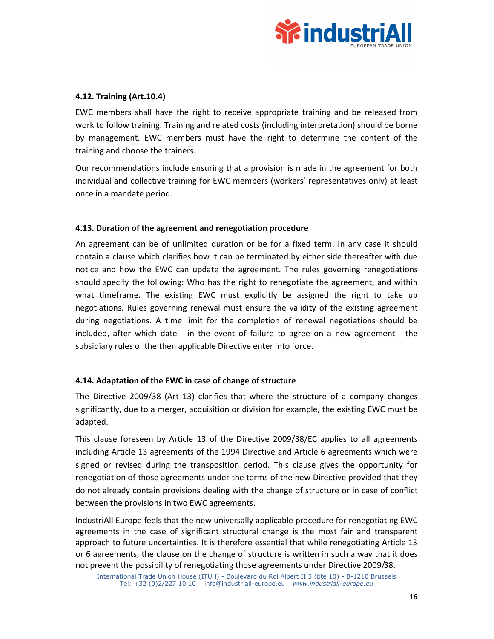

### **4.12. Training (Art.10.4)**

EWC members shall have the right to receive appropriate training and be released from work to follow training. Training and related costs (including interpretation) should be borne by management. EWC members must have the right to determine the content of the training and choose the trainers.

Our recommendations include ensuring that a provision is made in the agreement for both individual and collective training for EWC members (workers' representatives only) at least once in a mandate period.

### **4.13. Duration of the agreement and renegotiation procedure**

An agreement can be of unlimited duration or be for a fixed term. In any case it should contain a clause which clarifies how it can be terminated by either side thereafter with due notice and how the EWC can update the agreement. The rules governing renegotiations should specify the following: Who has the right to renegotiate the agreement, and within what timeframe. The existing EWC must explicitly be assigned the right to take up negotiations. Rules governing renewal must ensure the validity of the existing agreement during negotiations. A time limit for the completion of renewal negotiations should be included, after which date - in the event of failure to agree on a new agreement - the subsidiary rules of the then applicable Directive enter into force.

### **4.14. Adaptation of the EWC in case of change of structure**

The Directive 2009/38 (Art 13) clarifies that where the structure of a company changes significantly, due to a merger, acquisition or division for example, the existing EWC must be adapted.

This clause foreseen by Article 13 of the Directive 2009/38/EC applies to all agreements including Article 13 agreements of the 1994 Directive and Article 6 agreements which were signed or revised during the transposition period. This clause gives the opportunity for renegotiation of those agreements under the terms of the new Directive provided that they do not already contain provisions dealing with the change of structure or in case of conflict between the provisions in two EWC agreements.

IndustriAll Europe feels that the new universally applicable procedure for renegotiating EWC agreements in the case of significant structural change is the most fair and transparent approach to future uncertainties. It is therefore essential that while renegotiating Article 13 or 6 agreements, the clause on the change of structure is written in such a way that it does not prevent the possibility of renegotiating those agreements under Directive 2009/38.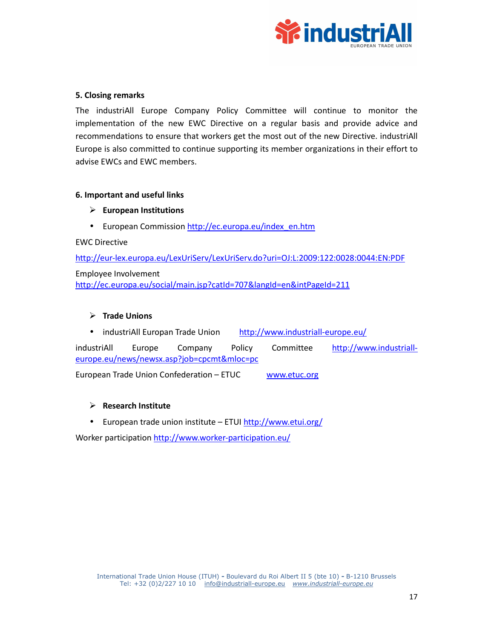

### **5. Closing remarks**

The industriAll Europe Company Policy Committee will continue to monitor the implementation of the new EWC Directive on a regular basis and provide advice and recommendations to ensure that workers get the most out of the new Directive. industriAll Europe is also committed to continue supporting its member organizations in their effort to advise EWCs and EWC members.

### **6. Important and useful links**

- **European Institutions**
- European Commission http://ec.europa.eu/index\_en.htm

EWC Directive

http://eur-lex.europa.eu/LexUriServ/LexUriServ.do?uri=OJ:L:2009:122:0028:0044:EN:PDF Employee Involvement http://ec.europa.eu/social/main.jsp?catId=707&langId=en&intPageId=211

### **Trade Unions**

• industriAll Europan Trade Union http://www.industriall-europe.eu/

industriAll Europe Company Policy Committee http://www.industrialleurope.eu/news/newsx.asp?job=cpcmt&mloc=pc

European Trade Union Confederation – ETUC www.etuc.org

### **Research Institute**

• European trade union institute – ETUI http://www.etui.org/

Worker participation http://www.worker-participation.eu/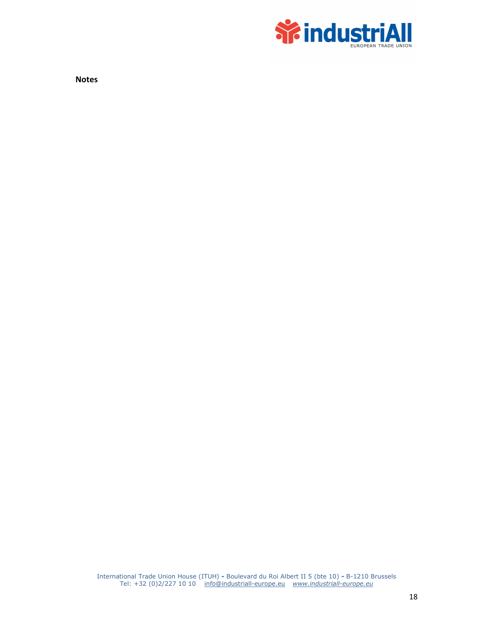

**Notes**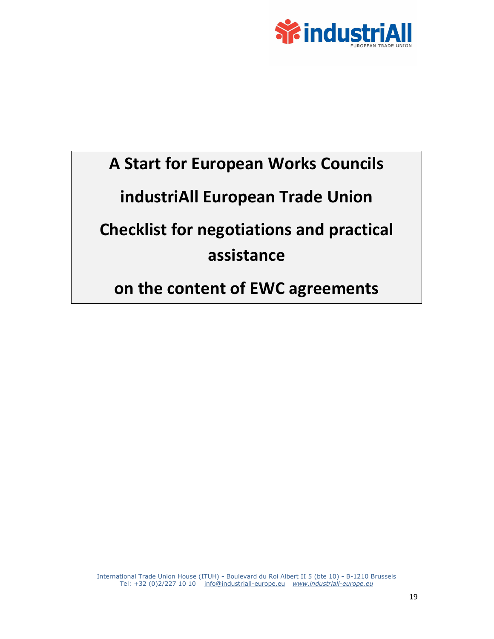

# **A Start for European Works Councils industriAll European Trade Union Checklist for negotiations and practical**

## **assistance**

**on the content of EWC agreements** 

International Trade Union House (ITUH) **-** Boulevard du Roi Albert II 5 (bte 10) **-** B-1210 Brussels Tel: +32 (0)2/227 10 10 info@industriall-europe.eu *www.industriall-europe.eu*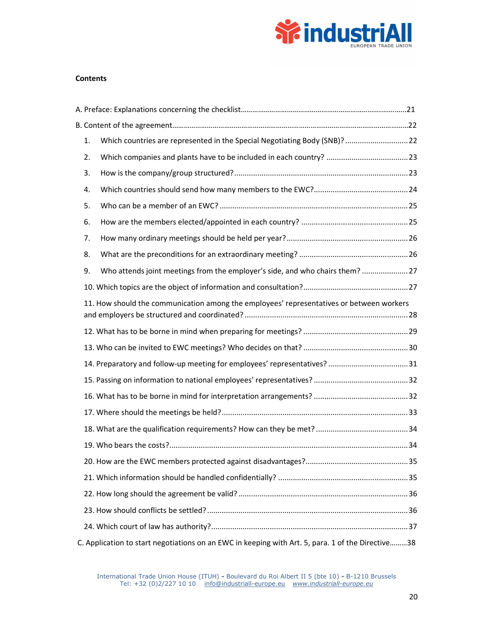

#### **Contents**

|                                                                                          | 1. | Which countries are represented in the Special Negotiating Body (SNB)? 22                         |  |  |
|------------------------------------------------------------------------------------------|----|---------------------------------------------------------------------------------------------------|--|--|
|                                                                                          | 2. |                                                                                                   |  |  |
|                                                                                          | 3. |                                                                                                   |  |  |
|                                                                                          | 4. |                                                                                                   |  |  |
|                                                                                          | 5. |                                                                                                   |  |  |
|                                                                                          | 6. |                                                                                                   |  |  |
|                                                                                          | 7. |                                                                                                   |  |  |
|                                                                                          | 8. |                                                                                                   |  |  |
|                                                                                          | 9. | Who attends joint meetings from the employer's side, and who chairs them? 27                      |  |  |
|                                                                                          |    |                                                                                                   |  |  |
| 11. How should the communication among the employees' representatives or between workers |    |                                                                                                   |  |  |
|                                                                                          |    |                                                                                                   |  |  |
|                                                                                          |    |                                                                                                   |  |  |
|                                                                                          |    | 14. Preparatory and follow-up meeting for employees' representatives? 31                          |  |  |
|                                                                                          |    |                                                                                                   |  |  |
|                                                                                          |    |                                                                                                   |  |  |
|                                                                                          |    |                                                                                                   |  |  |
|                                                                                          |    |                                                                                                   |  |  |
|                                                                                          |    |                                                                                                   |  |  |
|                                                                                          |    |                                                                                                   |  |  |
|                                                                                          |    |                                                                                                   |  |  |
|                                                                                          |    |                                                                                                   |  |  |
|                                                                                          |    |                                                                                                   |  |  |
|                                                                                          |    |                                                                                                   |  |  |
|                                                                                          |    | C. Application to start negotiations on an EWC in keeping with Art. 5, para. 1 of the Directive38 |  |  |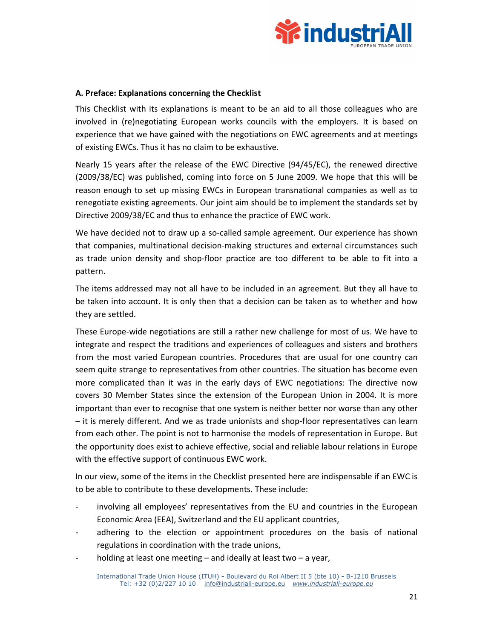

### **A. Preface: Explanations concerning the Checklist**

This Checklist with its explanations is meant to be an aid to all those colleagues who are involved in (re)negotiating European works councils with the employers. It is based on experience that we have gained with the negotiations on EWC agreements and at meetings of existing EWCs. Thus it has no claim to be exhaustive.

Nearly 15 years after the release of the EWC Directive (94/45/EC), the renewed directive (2009/38/EC) was published, coming into force on 5 June 2009. We hope that this will be reason enough to set up missing EWCs in European transnational companies as well as to renegotiate existing agreements. Our joint aim should be to implement the standards set by Directive 2009/38/EC and thus to enhance the practice of EWC work.

We have decided not to draw up a so-called sample agreement. Our experience has shown that companies, multinational decision-making structures and external circumstances such as trade union density and shop-floor practice are too different to be able to fit into a pattern.

The items addressed may not all have to be included in an agreement. But they all have to be taken into account. It is only then that a decision can be taken as to whether and how they are settled.

These Europe-wide negotiations are still a rather new challenge for most of us. We have to integrate and respect the traditions and experiences of colleagues and sisters and brothers from the most varied European countries. Procedures that are usual for one country can seem quite strange to representatives from other countries. The situation has become even more complicated than it was in the early days of EWC negotiations: The directive now covers 30 Member States since the extension of the European Union in 2004. It is more important than ever to recognise that one system is neither better nor worse than any other – it is merely different. And we as trade unionists and shop-floor representatives can learn from each other. The point is not to harmonise the models of representation in Europe. But the opportunity does exist to achieve effective, social and reliable labour relations in Europe with the effective support of continuous EWC work.

In our view, some of the items in the Checklist presented here are indispensable if an EWC is to be able to contribute to these developments. These include:

- involving all employees' representatives from the EU and countries in the European Economic Area (EEA), Switzerland and the EU applicant countries,
- adhering to the election or appointment procedures on the basis of national regulations in coordination with the trade unions,
- holding at least one meeting  $-$  and ideally at least two  $-$  a year,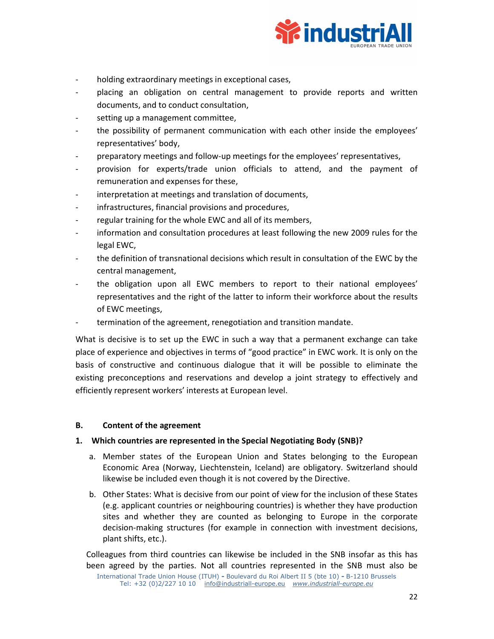

- holding extraordinary meetings in exceptional cases,
- placing an obligation on central management to provide reports and written documents, and to conduct consultation,
- setting up a management committee,
- the possibility of permanent communication with each other inside the employees' representatives' body,
- preparatory meetings and follow-up meetings for the employees' representatives,
- provision for experts/trade union officials to attend, and the payment of remuneration and expenses for these,
- interpretation at meetings and translation of documents,
- infrastructures, financial provisions and procedures,
- regular training for the whole EWC and all of its members,
- information and consultation procedures at least following the new 2009 rules for the legal EWC,
- the definition of transnational decisions which result in consultation of the EWC by the central management,
- the obligation upon all EWC members to report to their national employees' representatives and the right of the latter to inform their workforce about the results of EWC meetings,
- termination of the agreement, renegotiation and transition mandate.

What is decisive is to set up the EWC in such a way that a permanent exchange can take place of experience and objectives in terms of "good practice" in EWC work. It is only on the basis of constructive and continuous dialogue that it will be possible to eliminate the existing preconceptions and reservations and develop a joint strategy to effectively and efficiently represent workers' interests at European level.

### **B. Content of the agreement**

### **1. Which countries are represented in the Special Negotiating Body (SNB)?**

- a. Member states of the European Union and States belonging to the European Economic Area (Norway, Liechtenstein, Iceland) are obligatory. Switzerland should likewise be included even though it is not covered by the Directive.
- b. Other States: What is decisive from our point of view for the inclusion of these States (e.g. applicant countries or neighbouring countries) is whether they have production sites and whether they are counted as belonging to Europe in the corporate decision-making structures (for example in connection with investment decisions, plant shifts, etc.).

Colleagues from third countries can likewise be included in the SNB insofar as this has been agreed by the parties. Not all countries represented in the SNB must also be

International Trade Union House (ITUH) **-** Boulevard du Roi Albert II 5 (bte 10) **-** B-1210 Brussels Tel: +32 (0)2/227 10 10 info@industriall-europe.eu *www.industriall-europe.eu*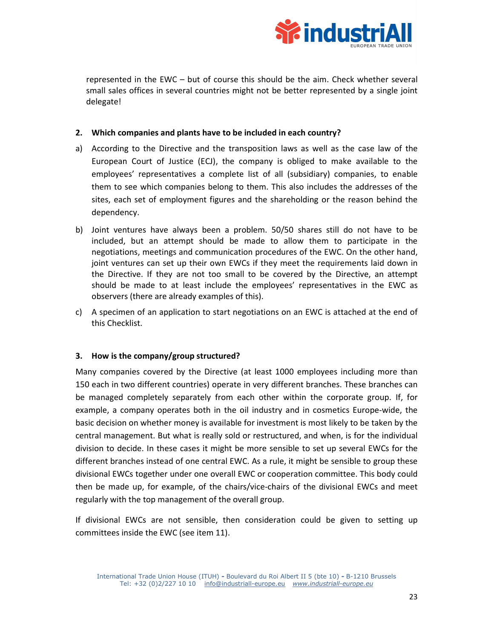

represented in the EWC – but of course this should be the aim. Check whether several small sales offices in several countries might not be better represented by a single joint delegate!

### **2. Which companies and plants have to be included in each country?**

- a) According to the Directive and the transposition laws as well as the case law of the European Court of Justice (ECJ), the company is obliged to make available to the employees' representatives a complete list of all (subsidiary) companies, to enable them to see which companies belong to them. This also includes the addresses of the sites, each set of employment figures and the shareholding or the reason behind the dependency.
- b) Joint ventures have always been a problem. 50/50 shares still do not have to be included, but an attempt should be made to allow them to participate in the negotiations, meetings and communication procedures of the EWC. On the other hand, joint ventures can set up their own EWCs if they meet the requirements laid down in the Directive. If they are not too small to be covered by the Directive, an attempt should be made to at least include the employees' representatives in the EWC as observers (there are already examples of this).
- c) A specimen of an application to start negotiations on an EWC is attached at the end of this Checklist.

### **3. How is the company/group structured?**

Many companies covered by the Directive (at least 1000 employees including more than 150 each in two different countries) operate in very different branches. These branches can be managed completely separately from each other within the corporate group. If, for example, a company operates both in the oil industry and in cosmetics Europe-wide, the basic decision on whether money is available for investment is most likely to be taken by the central management. But what is really sold or restructured, and when, is for the individual division to decide. In these cases it might be more sensible to set up several EWCs for the different branches instead of one central EWC. As a rule, it might be sensible to group these divisional EWCs together under one overall EWC or cooperation committee. This body could then be made up, for example, of the chairs/vice-chairs of the divisional EWCs and meet regularly with the top management of the overall group.

If divisional EWCs are not sensible, then consideration could be given to setting up committees inside the EWC (see item 11).

International Trade Union House (ITUH) **-** Boulevard du Roi Albert II 5 (bte 10) **-** B-1210 Brussels Tel: +32 (0)2/227 10 10 info@industriall-europe.eu *www.industriall-europe.eu*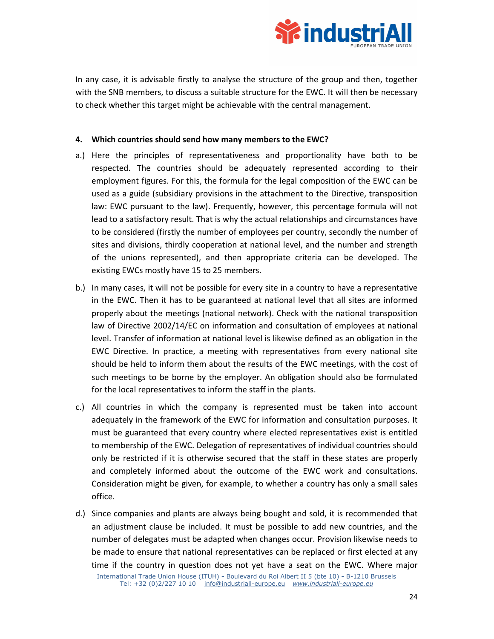

In any case, it is advisable firstly to analyse the structure of the group and then, together with the SNB members, to discuss a suitable structure for the EWC. It will then be necessary to check whether this target might be achievable with the central management.

### **4. Which countries should send how many members to the EWC?**

- a.) Here the principles of representativeness and proportionality have both to be respected. The countries should be adequately represented according to their employment figures. For this, the formula for the legal composition of the EWC can be used as a guide (subsidiary provisions in the attachment to the Directive, transposition law: EWC pursuant to the law). Frequently, however, this percentage formula will not lead to a satisfactory result. That is why the actual relationships and circumstances have to be considered (firstly the number of employees per country, secondly the number of sites and divisions, thirdly cooperation at national level, and the number and strength of the unions represented), and then appropriate criteria can be developed. The existing EWCs mostly have 15 to 25 members.
- b.) In many cases, it will not be possible for every site in a country to have a representative in the EWC. Then it has to be guaranteed at national level that all sites are informed properly about the meetings (national network). Check with the national transposition law of Directive 2002/14/EC on information and consultation of employees at national level. Transfer of information at national level is likewise defined as an obligation in the EWC Directive. In practice, a meeting with representatives from every national site should be held to inform them about the results of the EWC meetings, with the cost of such meetings to be borne by the employer. An obligation should also be formulated for the local representatives to inform the staff in the plants.
- c.) All countries in which the company is represented must be taken into account adequately in the framework of the EWC for information and consultation purposes. It must be guaranteed that every country where elected representatives exist is entitled to membership of the EWC. Delegation of representatives of individual countries should only be restricted if it is otherwise secured that the staff in these states are properly and completely informed about the outcome of the EWC work and consultations. Consideration might be given, for example, to whether a country has only a small sales office.
- d.) Since companies and plants are always being bought and sold, it is recommended that an adjustment clause be included. It must be possible to add new countries, and the number of delegates must be adapted when changes occur. Provision likewise needs to be made to ensure that national representatives can be replaced or first elected at any time if the country in question does not yet have a seat on the EWC. Where major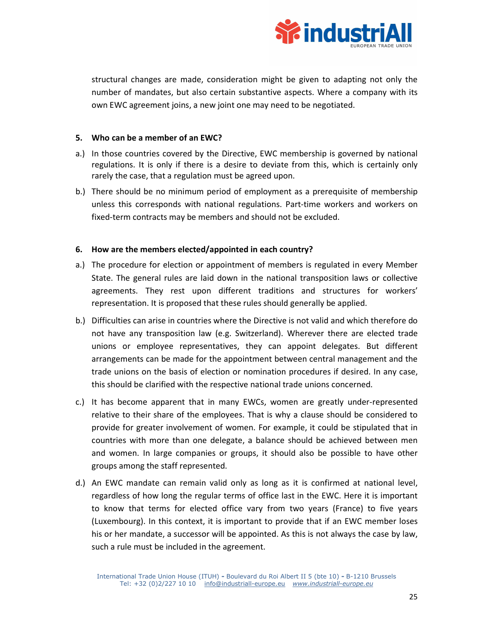

structural changes are made, consideration might be given to adapting not only the number of mandates, but also certain substantive aspects. Where a company with its own EWC agreement joins, a new joint one may need to be negotiated.

### **5. Who can be a member of an EWC?**

- a.) In those countries covered by the Directive, EWC membership is governed by national regulations. It is only if there is a desire to deviate from this, which is certainly only rarely the case, that a regulation must be agreed upon.
- b.) There should be no minimum period of employment as a prerequisite of membership unless this corresponds with national regulations. Part-time workers and workers on fixed-term contracts may be members and should not be excluded.

### **6. How are the members elected/appointed in each country?**

- a.) The procedure for election or appointment of members is regulated in every Member State. The general rules are laid down in the national transposition laws or collective agreements. They rest upon different traditions and structures for workers' representation. It is proposed that these rules should generally be applied.
- b.) Difficulties can arise in countries where the Directive is not valid and which therefore do not have any transposition law (e.g. Switzerland). Wherever there are elected trade unions or employee representatives, they can appoint delegates. But different arrangements can be made for the appointment between central management and the trade unions on the basis of election or nomination procedures if desired. In any case, this should be clarified with the respective national trade unions concerned.
- c.) It has become apparent that in many EWCs, women are greatly under-represented relative to their share of the employees. That is why a clause should be considered to provide for greater involvement of women. For example, it could be stipulated that in countries with more than one delegate, a balance should be achieved between men and women. In large companies or groups, it should also be possible to have other groups among the staff represented.
- d.) An EWC mandate can remain valid only as long as it is confirmed at national level, regardless of how long the regular terms of office last in the EWC. Here it is important to know that terms for elected office vary from two years (France) to five years (Luxembourg). In this context, it is important to provide that if an EWC member loses his or her mandate, a successor will be appointed. As this is not always the case by law, such a rule must be included in the agreement.

International Trade Union House (ITUH) **-** Boulevard du Roi Albert II 5 (bte 10) **-** B-1210 Brussels Tel: +32 (0)2/227 10 10 info@industriall-europe.eu *www.industriall-europe.eu*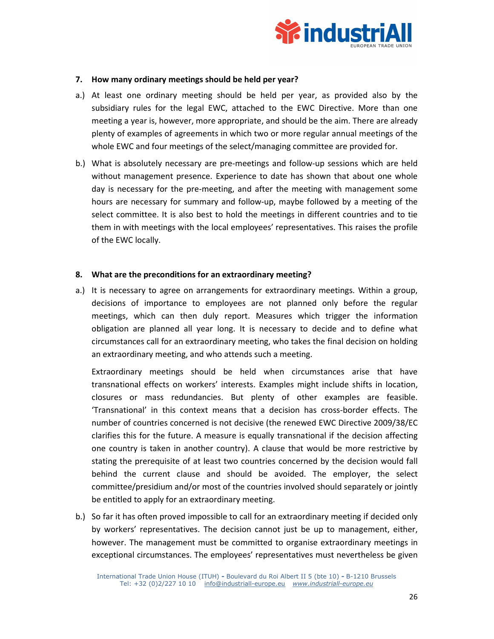

### **7. How many ordinary meetings should be held per year?**

- a.) At least one ordinary meeting should be held per year, as provided also by the subsidiary rules for the legal EWC, attached to the EWC Directive. More than one meeting a year is, however, more appropriate, and should be the aim. There are already plenty of examples of agreements in which two or more regular annual meetings of the whole EWC and four meetings of the select/managing committee are provided for.
- b.) What is absolutely necessary are pre-meetings and follow-up sessions which are held without management presence. Experience to date has shown that about one whole day is necessary for the pre-meeting, and after the meeting with management some hours are necessary for summary and follow-up, maybe followed by a meeting of the select committee. It is also best to hold the meetings in different countries and to tie them in with meetings with the local employees' representatives. This raises the profile of the EWC locally.

### **8. What are the preconditions for an extraordinary meeting?**

a.) It is necessary to agree on arrangements for extraordinary meetings. Within a group, decisions of importance to employees are not planned only before the regular meetings, which can then duly report. Measures which trigger the information obligation are planned all year long. It is necessary to decide and to define what circumstances call for an extraordinary meeting, who takes the final decision on holding an extraordinary meeting, and who attends such a meeting.

 Extraordinary meetings should be held when circumstances arise that have transnational effects on workers' interests. Examples might include shifts in location, closures or mass redundancies. But plenty of other examples are feasible. 'Transnational' in this context means that a decision has cross-border effects. The number of countries concerned is not decisive (the renewed EWC Directive 2009/38/EC clarifies this for the future. A measure is equally transnational if the decision affecting one country is taken in another country). A clause that would be more restrictive by stating the prerequisite of at least two countries concerned by the decision would fall behind the current clause and should be avoided. The employer, the select committee/presidium and/or most of the countries involved should separately or jointly be entitled to apply for an extraordinary meeting.

b.) So far it has often proved impossible to call for an extraordinary meeting if decided only by workers' representatives. The decision cannot just be up to management, either, however. The management must be committed to organise extraordinary meetings in exceptional circumstances. The employees' representatives must nevertheless be given

International Trade Union House (ITUH) **-** Boulevard du Roi Albert II 5 (bte 10) **-** B-1210 Brussels Tel: +32 (0)2/227 10 10 info@industriall-europe.eu *www.industriall-europe.eu*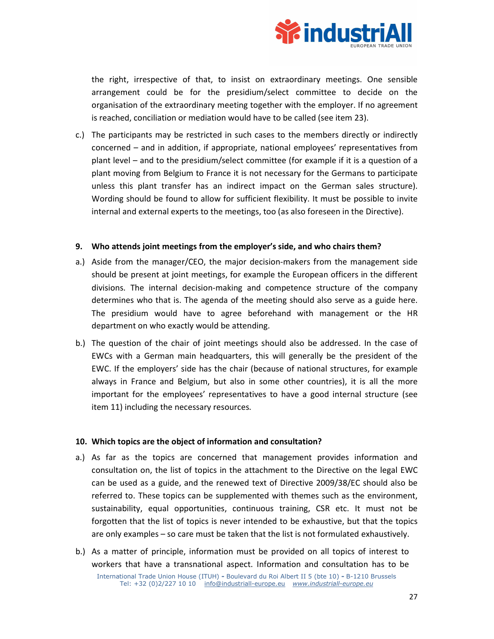

the right, irrespective of that, to insist on extraordinary meetings. One sensible arrangement could be for the presidium/select committee to decide on the organisation of the extraordinary meeting together with the employer. If no agreement is reached, conciliation or mediation would have to be called (see item 23).

c.) The participants may be restricted in such cases to the members directly or indirectly concerned – and in addition, if appropriate, national employees' representatives from plant level – and to the presidium/select committee (for example if it is a question of a plant moving from Belgium to France it is not necessary for the Germans to participate unless this plant transfer has an indirect impact on the German sales structure). Wording should be found to allow for sufficient flexibility. It must be possible to invite internal and external experts to the meetings, too (as also foreseen in the Directive).

### **9. Who attends joint meetings from the employer's side, and who chairs them?**

- a.) Aside from the manager/CEO, the major decision-makers from the management side should be present at joint meetings, for example the European officers in the different divisions. The internal decision-making and competence structure of the company determines who that is. The agenda of the meeting should also serve as a guide here. The presidium would have to agree beforehand with management or the HR department on who exactly would be attending.
- b.) The question of the chair of joint meetings should also be addressed. In the case of EWCs with a German main headquarters, this will generally be the president of the EWC. If the employers' side has the chair (because of national structures, for example always in France and Belgium, but also in some other countries), it is all the more important for the employees' representatives to have a good internal structure (see item 11) including the necessary resources.

### **10. Which topics are the object of information and consultation?**

- a.) As far as the topics are concerned that management provides information and consultation on, the list of topics in the attachment to the Directive on the legal EWC can be used as a guide, and the renewed text of Directive 2009/38/EC should also be referred to. These topics can be supplemented with themes such as the environment, sustainability, equal opportunities, continuous training, CSR etc. It must not be forgotten that the list of topics is never intended to be exhaustive, but that the topics are only examples – so care must be taken that the list is not formulated exhaustively.
- b.) As a matter of principle, information must be provided on all topics of interest to workers that have a transnational aspect. Information and consultation has to be

International Trade Union House (ITUH) **-** Boulevard du Roi Albert II 5 (bte 10) **-** B-1210 Brussels Tel: +32 (0)2/227 10 10 info@industriall-europe.eu *www.industriall-europe.eu*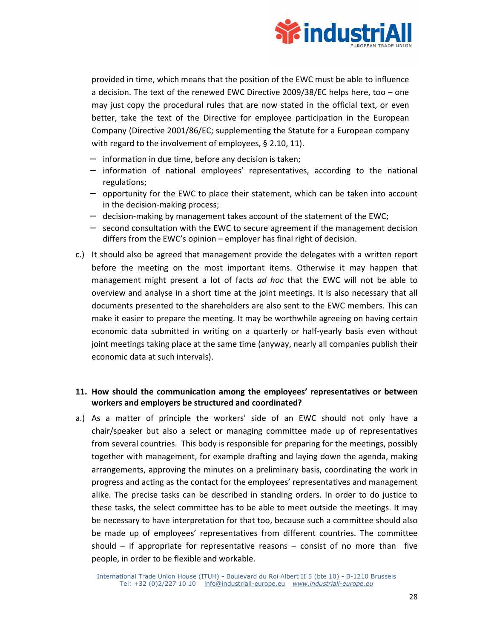

provided in time, which means that the position of the EWC must be able to influence a decision. The text of the renewed EWC Directive 2009/38/EC helps here, too – one may just copy the procedural rules that are now stated in the official text, or even better, take the text of the Directive for employee participation in the European Company (Directive 2001/86/EC; supplementing the Statute for a European company with regard to the involvement of employees, § 2.10, 11).

- − information in due time, before any decision is taken;
- information of national employees' representatives, according to the national regulations;
- − opportunity for the EWC to place their statement, which can be taken into account in the decision-making process;
- − decision-making by management takes account of the statement of the EWC;
- − second consultation with the EWC to secure agreement if the management decision differs from the EWC's opinion – employer has final right of decision.
- c.) It should also be agreed that management provide the delegates with a written report before the meeting on the most important items. Otherwise it may happen that management might present a lot of facts *ad hoc* that the EWC will not be able to overview and analyse in a short time at the joint meetings. It is also necessary that all documents presented to the shareholders are also sent to the EWC members. This can make it easier to prepare the meeting. It may be worthwhile agreeing on having certain economic data submitted in writing on a quarterly or half-yearly basis even without joint meetings taking place at the same time (anyway, nearly all companies publish their economic data at such intervals).

### **11. How should the communication among the employees' representatives or between workers and employers be structured and coordinated?**

a.) As a matter of principle the workers' side of an EWC should not only have a chair/speaker but also a select or managing committee made up of representatives from several countries. This body is responsible for preparing for the meetings, possibly together with management, for example drafting and laying down the agenda, making arrangements, approving the minutes on a preliminary basis, coordinating the work in progress and acting as the contact for the employees' representatives and management alike. The precise tasks can be described in standing orders. In order to do justice to these tasks, the select committee has to be able to meet outside the meetings. It may be necessary to have interpretation for that too, because such a committee should also be made up of employees' representatives from different countries. The committee should  $-$  if appropriate for representative reasons  $-$  consist of no more than five people, in order to be flexible and workable.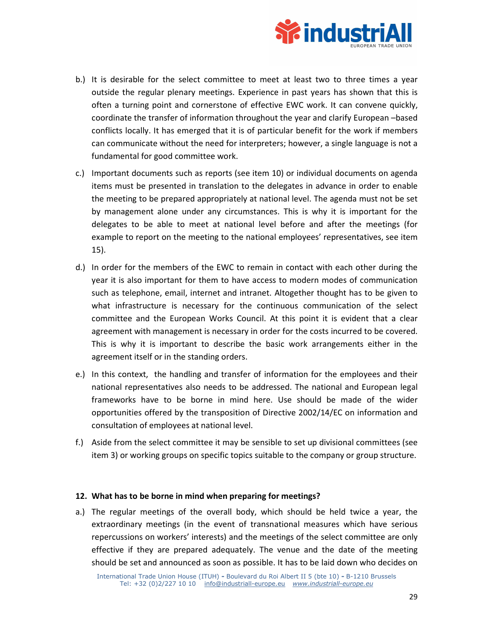

- b.) It is desirable for the select committee to meet at least two to three times a year outside the regular plenary meetings. Experience in past years has shown that this is often a turning point and cornerstone of effective EWC work. It can convene quickly, coordinate the transfer of information throughout the year and clarify European –based conflicts locally. It has emerged that it is of particular benefit for the work if members can communicate without the need for interpreters; however, a single language is not a fundamental for good committee work.
- c.) Important documents such as reports (see item 10) or individual documents on agenda items must be presented in translation to the delegates in advance in order to enable the meeting to be prepared appropriately at national level. The agenda must not be set by management alone under any circumstances. This is why it is important for the delegates to be able to meet at national level before and after the meetings (for example to report on the meeting to the national employees' representatives, see item 15).
- d.) In order for the members of the EWC to remain in contact with each other during the year it is also important for them to have access to modern modes of communication such as telephone, email, internet and intranet. Altogether thought has to be given to what infrastructure is necessary for the continuous communication of the select committee and the European Works Council. At this point it is evident that a clear agreement with management is necessary in order for the costs incurred to be covered. This is why it is important to describe the basic work arrangements either in the agreement itself or in the standing orders.
- e.) In this context, the handling and transfer of information for the employees and their national representatives also needs to be addressed. The national and European legal frameworks have to be borne in mind here. Use should be made of the wider opportunities offered by the transposition of Directive 2002/14/EC on information and consultation of employees at national level.
- f.) Aside from the select committee it may be sensible to set up divisional committees (see item 3) or working groups on specific topics suitable to the company or group structure.

### **12. What has to be borne in mind when preparing for meetings?**

a.) The regular meetings of the overall body, which should be held twice a year, the extraordinary meetings (in the event of transnational measures which have serious repercussions on workers' interests) and the meetings of the select committee are only effective if they are prepared adequately. The venue and the date of the meeting should be set and announced as soon as possible. It has to be laid down who decides on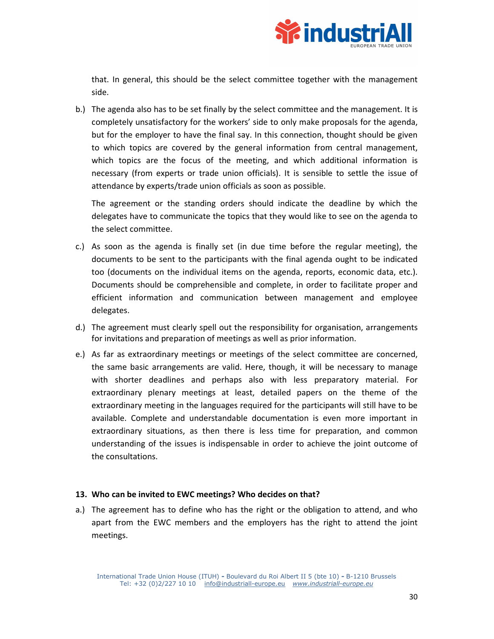

that. In general, this should be the select committee together with the management side.

b.) The agenda also has to be set finally by the select committee and the management. It is completely unsatisfactory for the workers' side to only make proposals for the agenda, but for the employer to have the final say. In this connection, thought should be given to which topics are covered by the general information from central management, which topics are the focus of the meeting, and which additional information is necessary (from experts or trade union officials). It is sensible to settle the issue of attendance by experts/trade union officials as soon as possible.

 The agreement or the standing orders should indicate the deadline by which the delegates have to communicate the topics that they would like to see on the agenda to the select committee.

- c.) As soon as the agenda is finally set (in due time before the regular meeting), the documents to be sent to the participants with the final agenda ought to be indicated too (documents on the individual items on the agenda, reports, economic data, etc.). Documents should be comprehensible and complete, in order to facilitate proper and efficient information and communication between management and employee delegates.
- d.) The agreement must clearly spell out the responsibility for organisation, arrangements for invitations and preparation of meetings as well as prior information.
- e.) As far as extraordinary meetings or meetings of the select committee are concerned, the same basic arrangements are valid. Here, though, it will be necessary to manage with shorter deadlines and perhaps also with less preparatory material. For extraordinary plenary meetings at least, detailed papers on the theme of the extraordinary meeting in the languages required for the participants will still have to be available. Complete and understandable documentation is even more important in extraordinary situations, as then there is less time for preparation, and common understanding of the issues is indispensable in order to achieve the joint outcome of the consultations.

### **13. Who can be invited to EWC meetings? Who decides on that?**

a.) The agreement has to define who has the right or the obligation to attend, and who apart from the EWC members and the employers has the right to attend the joint meetings.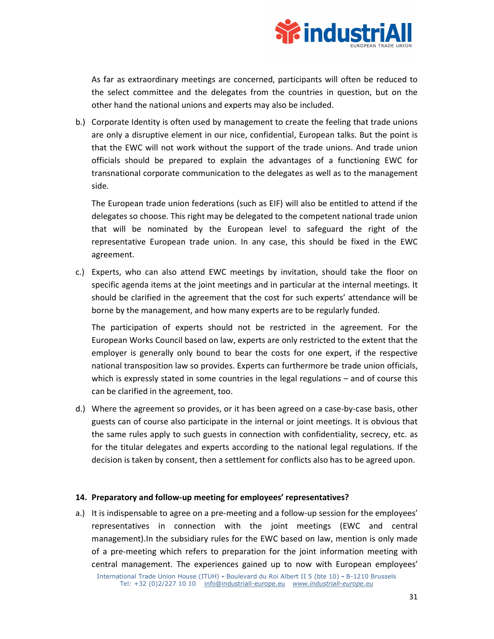

 As far as extraordinary meetings are concerned, participants will often be reduced to the select committee and the delegates from the countries in question, but on the other hand the national unions and experts may also be included.

b.) Corporate Identity is often used by management to create the feeling that trade unions are only a disruptive element in our nice, confidential, European talks. But the point is that the EWC will not work without the support of the trade unions. And trade union officials should be prepared to explain the advantages of a functioning EWC for transnational corporate communication to the delegates as well as to the management side.

The European trade union federations (such as EIF) will also be entitled to attend if the delegates so choose. This right may be delegated to the competent national trade union that will be nominated by the European level to safeguard the right of the representative European trade union. In any case, this should be fixed in the EWC agreement.

c.) Experts, who can also attend EWC meetings by invitation, should take the floor on specific agenda items at the joint meetings and in particular at the internal meetings. It should be clarified in the agreement that the cost for such experts' attendance will be borne by the management, and how many experts are to be regularly funded.

 The participation of experts should not be restricted in the agreement. For the European Works Council based on law, experts are only restricted to the extent that the employer is generally only bound to bear the costs for one expert, if the respective national transposition law so provides. Experts can furthermore be trade union officials, which is expressly stated in some countries in the legal regulations – and of course this can be clarified in the agreement, too.

d.) Where the agreement so provides, or it has been agreed on a case-by-case basis, other guests can of course also participate in the internal or joint meetings. It is obvious that the same rules apply to such guests in connection with confidentiality, secrecy, etc. as for the titular delegates and experts according to the national legal regulations. If the decision is taken by consent, then a settlement for conflicts also has to be agreed upon.

### **14. Preparatory and follow-up meeting for employees' representatives?**

a.) It is indispensable to agree on a pre-meeting and a follow-up session for the employees' representatives in connection with the joint meetings (EWC and central management).In the subsidiary rules for the EWC based on law, mention is only made of a pre-meeting which refers to preparation for the joint information meeting with central management. The experiences gained up to now with European employees'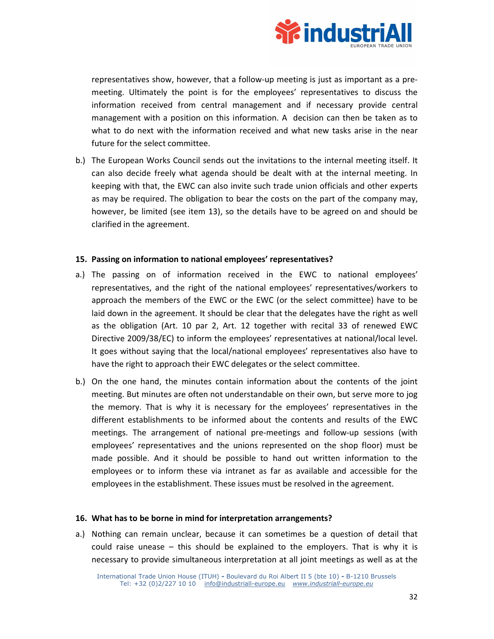

representatives show, however, that a follow-up meeting is just as important as a premeeting. Ultimately the point is for the employees' representatives to discuss the information received from central management and if necessary provide central management with a position on this information. A decision can then be taken as to what to do next with the information received and what new tasks arise in the near future for the select committee.

b.) The European Works Council sends out the invitations to the internal meeting itself. It can also decide freely what agenda should be dealt with at the internal meeting. In keeping with that, the EWC can also invite such trade union officials and other experts as may be required. The obligation to bear the costs on the part of the company may, however, be limited (see item 13), so the details have to be agreed on and should be clarified in the agreement.

### **15. Passing on information to national employees' representatives?**

- a.) The passing on of information received in the EWC to national employees' representatives, and the right of the national employees' representatives/workers to approach the members of the EWC or the EWC (or the select committee) have to be laid down in the agreement. It should be clear that the delegates have the right as well as the obligation (Art. 10 par 2, Art. 12 together with recital 33 of renewed EWC Directive 2009/38/EC) to inform the employees' representatives at national/local level. It goes without saying that the local/national employees' representatives also have to have the right to approach their EWC delegates or the select committee.
- b.) On the one hand, the minutes contain information about the contents of the joint meeting. But minutes are often not understandable on their own, but serve more to jog the memory. That is why it is necessary for the employees' representatives in the different establishments to be informed about the contents and results of the EWC meetings. The arrangement of national pre-meetings and follow-up sessions (with employees' representatives and the unions represented on the shop floor) must be made possible. And it should be possible to hand out written information to the employees or to inform these via intranet as far as available and accessible for the employees in the establishment. These issues must be resolved in the agreement.

### **16. What has to be borne in mind for interpretation arrangements?**

a.) Nothing can remain unclear, because it can sometimes be a question of detail that could raise unease  $-$  this should be explained to the employers. That is why it is necessary to provide simultaneous interpretation at all joint meetings as well as at the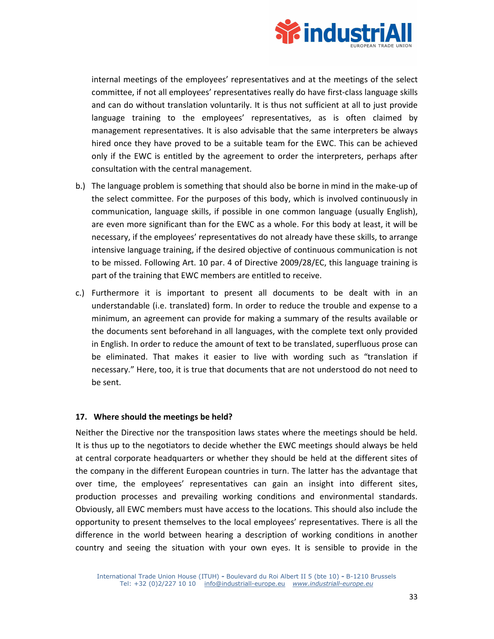

internal meetings of the employees' representatives and at the meetings of the select committee, if not all employees' representatives really do have first-class language skills and can do without translation voluntarily. It is thus not sufficient at all to just provide language training to the employees' representatives, as is often claimed by management representatives. It is also advisable that the same interpreters be always hired once they have proved to be a suitable team for the EWC. This can be achieved only if the EWC is entitled by the agreement to order the interpreters, perhaps after consultation with the central management.

- b.) The language problem is something that should also be borne in mind in the make-up of the select committee. For the purposes of this body, which is involved continuously in communication, language skills, if possible in one common language (usually English), are even more significant than for the EWC as a whole. For this body at least, it will be necessary, if the employees' representatives do not already have these skills, to arrange intensive language training, if the desired objective of continuous communication is not to be missed. Following Art. 10 par. 4 of Directive 2009/28/EC, this language training is part of the training that EWC members are entitled to receive.
- c.) Furthermore it is important to present all documents to be dealt with in an understandable (i.e. translated) form. In order to reduce the trouble and expense to a minimum, an agreement can provide for making a summary of the results available or the documents sent beforehand in all languages, with the complete text only provided in English. In order to reduce the amount of text to be translated, superfluous prose can be eliminated. That makes it easier to live with wording such as "translation if necessary." Here, too, it is true that documents that are not understood do not need to be sent.

### **17. Where should the meetings be held?**

Neither the Directive nor the transposition laws states where the meetings should be held. It is thus up to the negotiators to decide whether the EWC meetings should always be held at central corporate headquarters or whether they should be held at the different sites of the company in the different European countries in turn. The latter has the advantage that over time, the employees' representatives can gain an insight into different sites, production processes and prevailing working conditions and environmental standards. Obviously, all EWC members must have access to the locations. This should also include the opportunity to present themselves to the local employees' representatives. There is all the difference in the world between hearing a description of working conditions in another country and seeing the situation with your own eyes. It is sensible to provide in the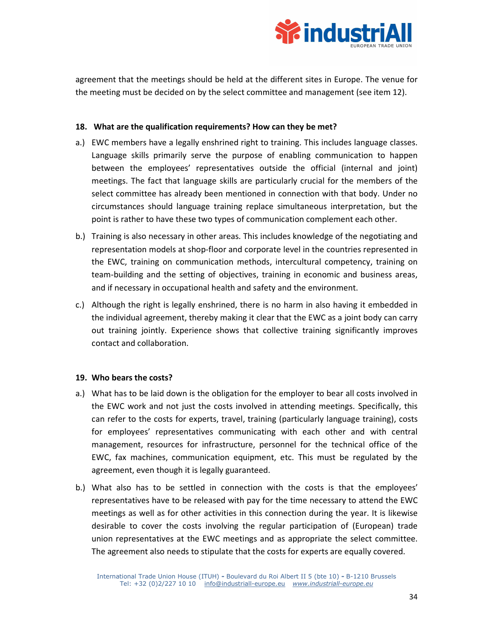

agreement that the meetings should be held at the different sites in Europe. The venue for the meeting must be decided on by the select committee and management (see item 12).

### **18. What are the qualification requirements? How can they be met?**

- a.) EWC members have a legally enshrined right to training. This includes language classes. Language skills primarily serve the purpose of enabling communication to happen between the employees' representatives outside the official (internal and joint) meetings. The fact that language skills are particularly crucial for the members of the select committee has already been mentioned in connection with that body. Under no circumstances should language training replace simultaneous interpretation, but the point is rather to have these two types of communication complement each other.
- b.) Training is also necessary in other areas. This includes knowledge of the negotiating and representation models at shop-floor and corporate level in the countries represented in the EWC, training on communication methods, intercultural competency, training on team-building and the setting of objectives, training in economic and business areas, and if necessary in occupational health and safety and the environment.
- c.) Although the right is legally enshrined, there is no harm in also having it embedded in the individual agreement, thereby making it clear that the EWC as a joint body can carry out training jointly. Experience shows that collective training significantly improves contact and collaboration.

### **19. Who bears the costs?**

- a.) What has to be laid down is the obligation for the employer to bear all costs involved in the EWC work and not just the costs involved in attending meetings. Specifically, this can refer to the costs for experts, travel, training (particularly language training), costs for employees' representatives communicating with each other and with central management, resources for infrastructure, personnel for the technical office of the EWC, fax machines, communication equipment, etc. This must be regulated by the agreement, even though it is legally guaranteed.
- b.) What also has to be settled in connection with the costs is that the employees' representatives have to be released with pay for the time necessary to attend the EWC meetings as well as for other activities in this connection during the year. It is likewise desirable to cover the costs involving the regular participation of (European) trade union representatives at the EWC meetings and as appropriate the select committee. The agreement also needs to stipulate that the costs for experts are equally covered.

International Trade Union House (ITUH) **-** Boulevard du Roi Albert II 5 (bte 10) **-** B-1210 Brussels Tel: +32 (0)2/227 10 10 info@industriall-europe.eu *www.industriall-europe.eu*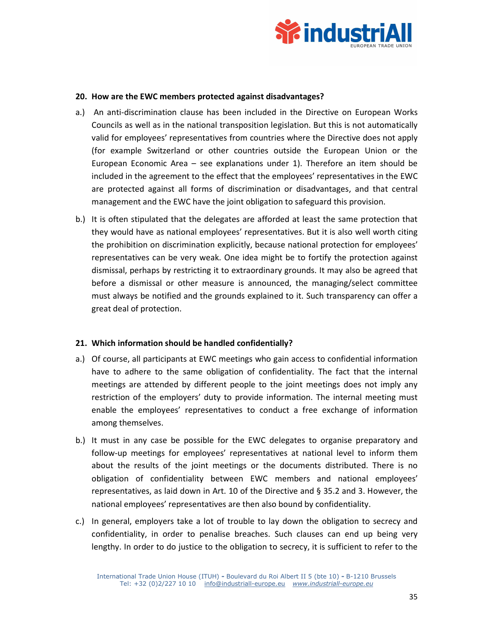

### **20. How are the EWC members protected against disadvantages?**

- a.) An anti-discrimination clause has been included in the Directive on European Works Councils as well as in the national transposition legislation. But this is not automatically valid for employees' representatives from countries where the Directive does not apply (for example Switzerland or other countries outside the European Union or the European Economic Area – see explanations under 1). Therefore an item should be included in the agreement to the effect that the employees' representatives in the EWC are protected against all forms of discrimination or disadvantages, and that central management and the EWC have the joint obligation to safeguard this provision.
- b.) It is often stipulated that the delegates are afforded at least the same protection that they would have as national employees' representatives. But it is also well worth citing the prohibition on discrimination explicitly, because national protection for employees' representatives can be very weak. One idea might be to fortify the protection against dismissal, perhaps by restricting it to extraordinary grounds. It may also be agreed that before a dismissal or other measure is announced, the managing/select committee must always be notified and the grounds explained to it. Such transparency can offer a great deal of protection.

### **21. Which information should be handled confidentially?**

- a.) Of course, all participants at EWC meetings who gain access to confidential information have to adhere to the same obligation of confidentiality. The fact that the internal meetings are attended by different people to the joint meetings does not imply any restriction of the employers' duty to provide information. The internal meeting must enable the employees' representatives to conduct a free exchange of information among themselves.
- b.) It must in any case be possible for the EWC delegates to organise preparatory and follow-up meetings for employees' representatives at national level to inform them about the results of the joint meetings or the documents distributed. There is no obligation of confidentiality between EWC members and national employees' representatives, as laid down in Art. 10 of the Directive and § 35.2 and 3. However, the national employees' representatives are then also bound by confidentiality.
- c.) In general, employers take a lot of trouble to lay down the obligation to secrecy and confidentiality, in order to penalise breaches. Such clauses can end up being very lengthy. In order to do justice to the obligation to secrecy, it is sufficient to refer to the

International Trade Union House (ITUH) **-** Boulevard du Roi Albert II 5 (bte 10) **-** B-1210 Brussels Tel: +32 (0)2/227 10 10 info@industriall-europe.eu *www.industriall-europe.eu*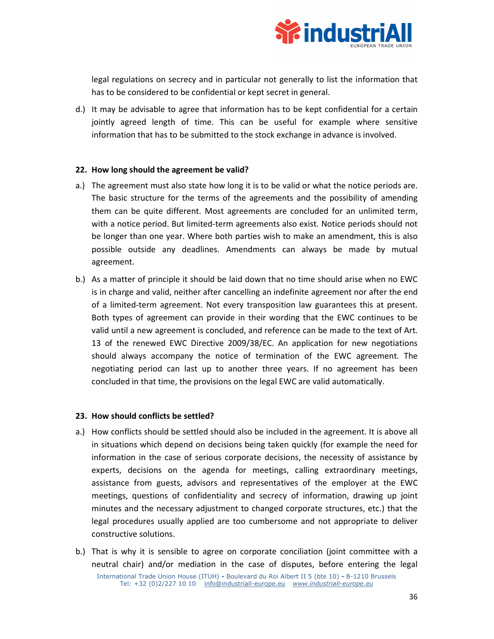

legal regulations on secrecy and in particular not generally to list the information that has to be considered to be confidential or kept secret in general.

d.) It may be advisable to agree that information has to be kept confidential for a certain jointly agreed length of time. This can be useful for example where sensitive information that has to be submitted to the stock exchange in advance is involved.

### **22. How long should the agreement be valid?**

- a.) The agreement must also state how long it is to be valid or what the notice periods are. The basic structure for the terms of the agreements and the possibility of amending them can be quite different. Most agreements are concluded for an unlimited term, with a notice period. But limited-term agreements also exist. Notice periods should not be longer than one year. Where both parties wish to make an amendment, this is also possible outside any deadlines. Amendments can always be made by mutual agreement.
- b.) As a matter of principle it should be laid down that no time should arise when no EWC is in charge and valid, neither after cancelling an indefinite agreement nor after the end of a limited-term agreement. Not every transposition law guarantees this at present. Both types of agreement can provide in their wording that the EWC continues to be valid until a new agreement is concluded, and reference can be made to the text of Art. 13 of the renewed EWC Directive 2009/38/EC. An application for new negotiations should always accompany the notice of termination of the EWC agreement. The negotiating period can last up to another three years. If no agreement has been concluded in that time, the provisions on the legal EWC are valid automatically.

### **23. How should conflicts be settled?**

- a.) How conflicts should be settled should also be included in the agreement. It is above all in situations which depend on decisions being taken quickly (for example the need for information in the case of serious corporate decisions, the necessity of assistance by experts, decisions on the agenda for meetings, calling extraordinary meetings, assistance from guests, advisors and representatives of the employer at the EWC meetings, questions of confidentiality and secrecy of information, drawing up joint minutes and the necessary adjustment to changed corporate structures, etc.) that the legal procedures usually applied are too cumbersome and not appropriate to deliver constructive solutions.
- b.) That is why it is sensible to agree on corporate conciliation (joint committee with a neutral chair) and/or mediation in the case of disputes, before entering the legal

International Trade Union House (ITUH) **-** Boulevard du Roi Albert II 5 (bte 10) **-** B-1210 Brussels Tel: +32 (0)2/227 10 10 info@industriall-europe.eu *www.industriall-europe.eu*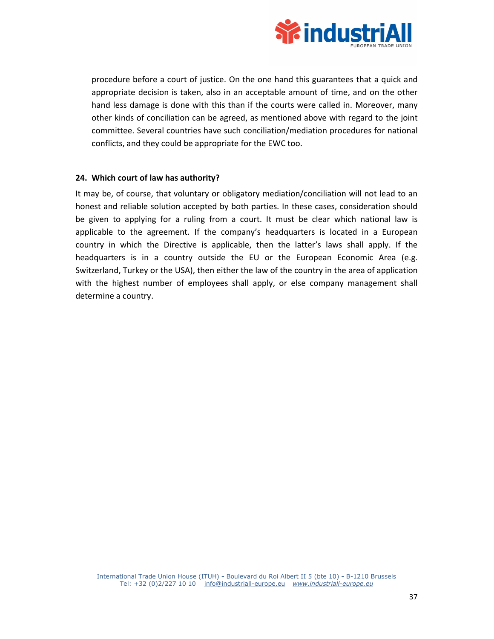

procedure before a court of justice. On the one hand this guarantees that a quick and appropriate decision is taken, also in an acceptable amount of time, and on the other hand less damage is done with this than if the courts were called in. Moreover, many other kinds of conciliation can be agreed, as mentioned above with regard to the joint committee. Several countries have such conciliation/mediation procedures for national conflicts, and they could be appropriate for the EWC too.

### **24. Which court of law has authority?**

It may be, of course, that voluntary or obligatory mediation/conciliation will not lead to an honest and reliable solution accepted by both parties. In these cases, consideration should be given to applying for a ruling from a court. It must be clear which national law is applicable to the agreement. If the company's headquarters is located in a European country in which the Directive is applicable, then the latter's laws shall apply. If the headquarters is in a country outside the EU or the European Economic Area (e.g. Switzerland, Turkey or the USA), then either the law of the country in the area of application with the highest number of employees shall apply, or else company management shall determine a country.